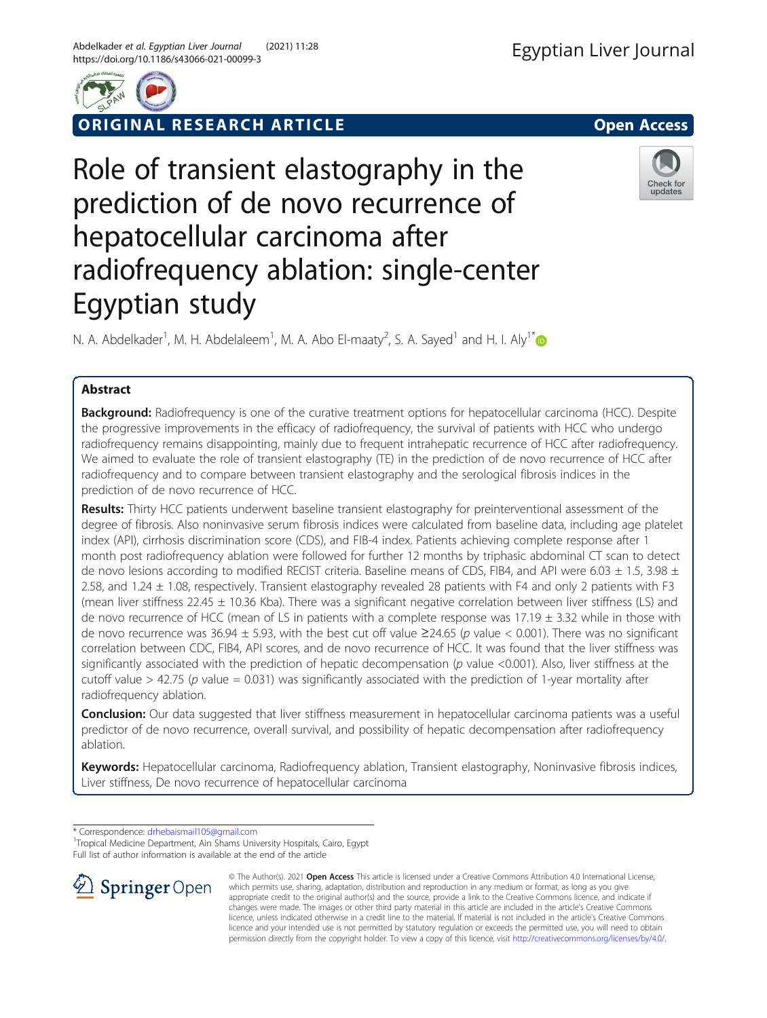



ORIGINAL RESEARCH ARTICLE **External of the Second Access** 

Check for updates

# Role of transient elastography in the prediction of de novo recurrence of hepatocellular carcinoma after radiofrequency ablation: single-center Egyptian study

N. A. Abdelkader<sup>1</sup>, M. H. Abdelaleem<sup>1</sup>, M. A. Abo El-maaty<sup>2</sup>, S. A. Sayed<sup>1</sup> and H. I. Aly<sup>1\*</sup>

## Abstract

Background: Radiofrequency is one of the curative treatment options for hepatocellular carcinoma (HCC). Despite the progressive improvements in the efficacy of radiofrequency, the survival of patients with HCC who undergo radiofrequency remains disappointing, mainly due to frequent intrahepatic recurrence of HCC after radiofrequency. We aimed to evaluate the role of transient elastography (TE) in the prediction of de novo recurrence of HCC after radiofrequency and to compare between transient elastography and the serological fibrosis indices in the prediction of de novo recurrence of HCC.

Results: Thirty HCC patients underwent baseline transient elastography for preinterventional assessment of the degree of fibrosis. Also noninvasive serum fibrosis indices were calculated from baseline data, including age platelet index (API), cirrhosis discrimination score (CDS), and FIB-4 index. Patients achieving complete response after 1 month post radiofrequency ablation were followed for further 12 months by triphasic abdominal CT scan to detect de novo lesions according to modified RECIST criteria. Baseline means of CDS, FIB4, and API were 6.03  $\pm$  1.5, 3.98  $\pm$ 2.58, and 1.24 ± 1.08, respectively. Transient elastography revealed 28 patients with F4 and only 2 patients with F3 (mean liver stiffness  $22.45 \pm 10.36$  Kba). There was a significant negative correlation between liver stiffness (LS) and de novo recurrence of HCC (mean of LS in patients with a complete response was 17.19 ± 3.32 while in those with de novo recurrence was 36.94  $\pm$  5.93, with the best cut off value  $\geq$ 24.65 (p value < 0.001). There was no significant correlation between CDC, FIB4, API scores, and de novo recurrence of HCC. It was found that the liver stiffness was significantly associated with the prediction of hepatic decompensation ( $p$  value <0.001). Also, liver stiffness at the cutoff value  $> 42.75$  (p value = 0.031) was significantly associated with the prediction of 1-year mortality after radiofrequency ablation.

Conclusion: Our data suggested that liver stiffness measurement in hepatocellular carcinoma patients was a useful predictor of de novo recurrence, overall survival, and possibility of hepatic decompensation after radiofrequency ablation.

Keywords: Hepatocellular carcinoma, Radiofrequency ablation, Transient elastography, Noninvasive fibrosis indices, Liver stiffness, De novo recurrence of hepatocellular carcinoma

\* Correspondence: [drhebaismail105@gmail.com](mailto:drhebaismail105@gmail.com) <sup>1</sup>

<sup>1</sup>Tropical Medicine Department, Ain Shams University Hospitals, Cairo, Egypt Full list of author information is available at the end of the article



© The Author(s). 2021 Open Access This article is licensed under a Creative Commons Attribution 4.0 International License, which permits use, sharing, adaptation, distribution and reproduction in any medium or format, as long as you give appropriate credit to the original author(s) and the source, provide a link to the Creative Commons licence, and indicate if changes were made. The images or other third party material in this article are included in the article's Creative Commons licence, unless indicated otherwise in a credit line to the material. If material is not included in the article's Creative Commons licence and your intended use is not permitted by statutory regulation or exceeds the permitted use, you will need to obtain permission directly from the copyright holder. To view a copy of this licence, visit <http://creativecommons.org/licenses/by/4.0/>.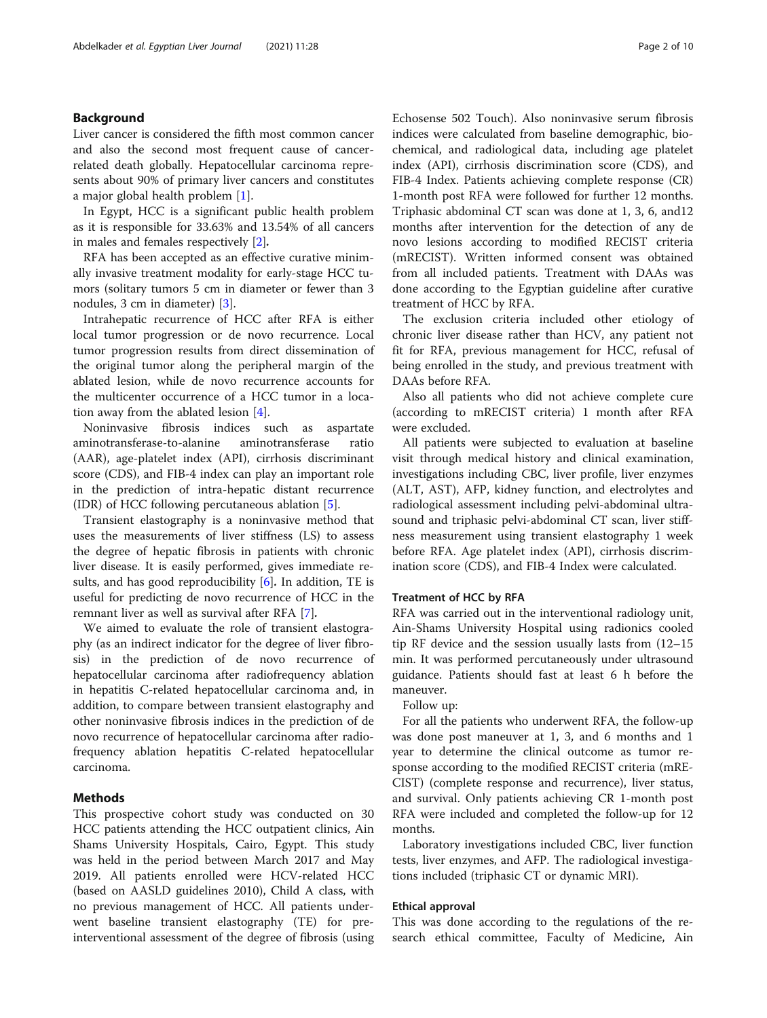## Background

Liver cancer is considered the fifth most common cancer and also the second most frequent cause of cancerrelated death globally. Hepatocellular carcinoma represents about 90% of primary liver cancers and constitutes a major global health problem [[1\]](#page-8-0).

In Egypt, HCC is a significant public health problem as it is responsible for 33.63% and 13.54% of all cancers in males and females respectively [[2\]](#page-8-0).

RFA has been accepted as an effective curative minimally invasive treatment modality for early-stage HCC tumors (solitary tumors 5 cm in diameter or fewer than 3 nodules, 3 cm in diameter) [\[3](#page-8-0)].

Intrahepatic recurrence of HCC after RFA is either local tumor progression or de novo recurrence. Local tumor progression results from direct dissemination of the original tumor along the peripheral margin of the ablated lesion, while de novo recurrence accounts for the multicenter occurrence of a HCC tumor in a location away from the ablated lesion  $[4]$  $[4]$  $[4]$ .

Noninvasive fibrosis indices such as aspartate aminotransferase-to-alanine aminotransferase ratio (AAR), age-platelet index (API), cirrhosis discriminant score (CDS), and FIB-4 index can play an important role in the prediction of intra-hepatic distant recurrence (IDR) of HCC following percutaneous ablation [\[5](#page-8-0)].

Transient elastography is a noninvasive method that uses the measurements of liver stiffness (LS) to assess the degree of hepatic fibrosis in patients with chronic liver disease. It is easily performed, gives immediate results, and has good reproducibility  $[6]$  $[6]$ . In addition, TE is useful for predicting de novo recurrence of HCC in the remnant liver as well as survival after RFA [\[7](#page-8-0)].

We aimed to evaluate the role of transient elastography (as an indirect indicator for the degree of liver fibrosis) in the prediction of de novo recurrence of hepatocellular carcinoma after radiofrequency ablation in hepatitis C-related hepatocellular carcinoma and, in addition, to compare between transient elastography and other noninvasive fibrosis indices in the prediction of de novo recurrence of hepatocellular carcinoma after radiofrequency ablation hepatitis C-related hepatocellular carcinoma.

## Methods

This prospective cohort study was conducted on 30 HCC patients attending the HCC outpatient clinics, Ain Shams University Hospitals, Cairo, Egypt. This study was held in the period between March 2017 and May 2019. All patients enrolled were HCV-related HCC (based on AASLD guidelines 2010), Child A class, with no previous management of HCC. All patients underwent baseline transient elastography (TE) for preinterventional assessment of the degree of fibrosis (using Echosense 502 Touch). Also noninvasive serum fibrosis indices were calculated from baseline demographic, biochemical, and radiological data, including age platelet index (API), cirrhosis discrimination score (CDS), and FIB-4 Index. Patients achieving complete response (CR) 1-month post RFA were followed for further 12 months. Triphasic abdominal CT scan was done at 1, 3, 6, and12 months after intervention for the detection of any de novo lesions according to modified RECIST criteria (mRECIST). Written informed consent was obtained from all included patients. Treatment with DAAs was done according to the Egyptian guideline after curative treatment of HCC by RFA.

The exclusion criteria included other etiology of chronic liver disease rather than HCV, any patient not fit for RFA, previous management for HCC, refusal of being enrolled in the study, and previous treatment with DAAs before RFA.

Also all patients who did not achieve complete cure (according to mRECIST criteria) 1 month after RFA were excluded.

All patients were subjected to evaluation at baseline visit through medical history and clinical examination, investigations including CBC, liver profile, liver enzymes (ALT, AST), AFP, kidney function, and electrolytes and radiological assessment including pelvi-abdominal ultrasound and triphasic pelvi-abdominal CT scan, liver stiffness measurement using transient elastography 1 week before RFA. Age platelet index (API), cirrhosis discrimination score (CDS), and FIB-4 Index were calculated.

## Treatment of HCC by RFA

RFA was carried out in the interventional radiology unit, Ain-Shams University Hospital using radionics cooled tip RF device and the session usually lasts from (12–15 min. It was performed percutaneously under ultrasound guidance. Patients should fast at least 6 h before the maneuver.

## Follow up:

For all the patients who underwent RFA, the follow-up was done post maneuver at 1, 3, and 6 months and 1 year to determine the clinical outcome as tumor response according to the modified RECIST criteria (mRE-CIST) (complete response and recurrence), liver status, and survival. Only patients achieving CR 1-month post RFA were included and completed the follow-up for 12 months.

Laboratory investigations included CBC, liver function tests, liver enzymes, and AFP. The radiological investigations included (triphasic CT or dynamic MRI).

## Ethical approval

This was done according to the regulations of the research ethical committee, Faculty of Medicine, Ain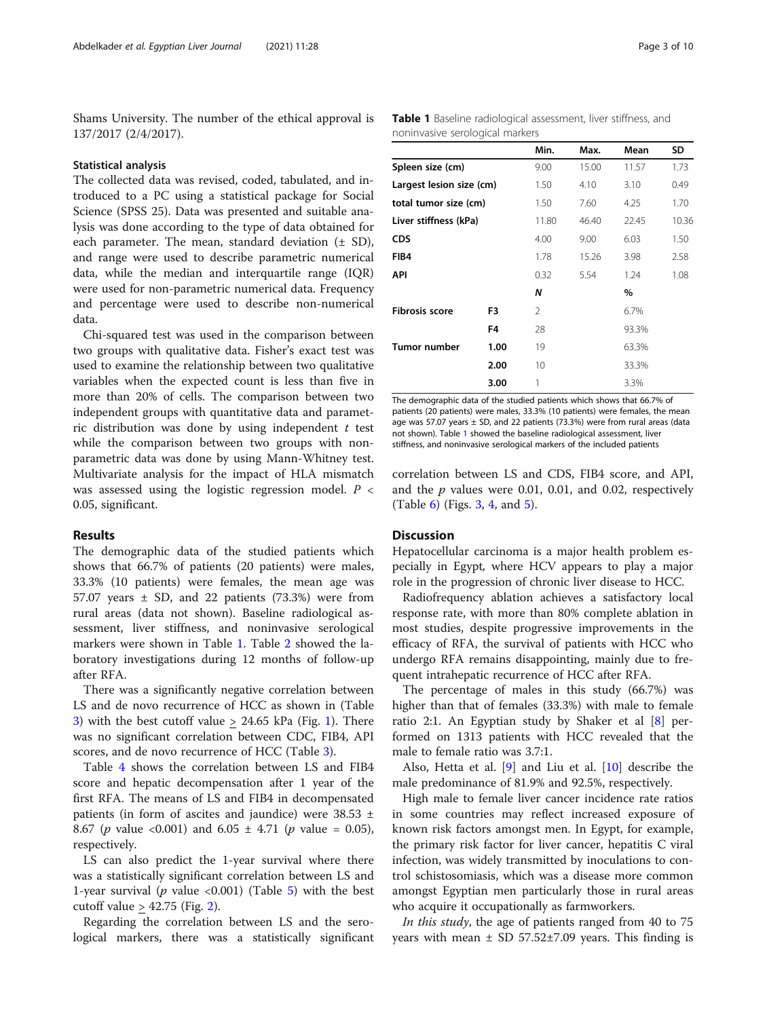Shams University. The number of the ethical approval is 137/2017 (2/4/2017).

#### Statistical analysis

The collected data was revised, coded, tabulated, and introduced to a PC using a statistical package for Social Science (SPSS 25). Data was presented and suitable analysis was done according to the type of data obtained for each parameter. The mean, standard deviation  $(± SD)$ , and range were used to describe parametric numerical data, while the median and interquartile range (IQR) were used for non-parametric numerical data. Frequency and percentage were used to describe non-numerical data.

Chi-squared test was used in the comparison between two groups with qualitative data. Fisher's exact test was used to examine the relationship between two qualitative variables when the expected count is less than five in more than 20% of cells. The comparison between two independent groups with quantitative data and parametric distribution was done by using independent  $t$  test while the comparison between two groups with nonparametric data was done by using Mann-Whitney test. Multivariate analysis for the impact of HLA mismatch was assessed using the logistic regression model.  $P \leq$ 0.05, significant.

## Results

The demographic data of the studied patients which shows that 66.7% of patients (20 patients) were males, 33.3% (10 patients) were females, the mean age was 57.07 years  $\pm$  SD, and 22 patients (73.3%) were from rural areas (data not shown). Baseline radiological assessment, liver stiffness, and noninvasive serological markers were shown in Table 1. Table [2](#page-3-0) showed the laboratory investigations during 12 months of follow-up after RFA.

There was a significantly negative correlation between LS and de novo recurrence of HCC as shown in (Table [3\)](#page-3-0) with the best cutoff value  $> 24.65$  kPa (Fig. [1](#page-4-0)). There was no significant correlation between CDC, FIB4, API scores, and de novo recurrence of HCC (Table [3\)](#page-3-0).

Table [4](#page-4-0) shows the correlation between LS and FIB4 score and hepatic decompensation after 1 year of the first RFA. The means of LS and FIB4 in decompensated patients (in form of ascites and jaundice) were  $38.53 \pm$ 8.67 (*p* value <0.001) and 6.05  $\pm$  4.71 (*p* value = 0.05), respectively.

LS can also predict the 1-year survival where there was a statistically significant correlation between LS and 1-year survival ( $p$  value <0.001) (Table [5](#page-5-0)) with the best cutoff value  $\geq$  42.75 (Fig. [2\)](#page-5-0).

Regarding the correlation between LS and the serological markers, there was a statistically significant Table 1 Baseline radiological assessment, liver stiffness, and noninvasive serological markers

|                          |                | Min.           | Max.  | Mean  | SD    |
|--------------------------|----------------|----------------|-------|-------|-------|
| Spleen size (cm)         |                | 9.00           | 15.00 | 11.57 | 1.73  |
| Largest lesion size (cm) |                | 1.50           | 4.10  | 3.10  | 0.49  |
| total tumor size (cm)    |                | 1.50           | 7.60  | 4.25  | 1.70  |
| Liver stiffness (kPa)    |                | 11.80          | 46.40 | 22.45 | 10.36 |
| <b>CDS</b>               |                | 4.00           | 9.00  | 6.03  | 1.50  |
| FIB4                     |                | 1.78           | 15.26 | 3.98  | 2.58  |
| API                      |                | 0.32           | 5.54  | 1.24  | 1.08  |
|                          |                | N              |       | $\%$  |       |
| <b>Fibrosis score</b>    | F3.            | $\mathfrak{D}$ |       | 6.7%  |       |
|                          | F <sub>4</sub> | 28             |       | 93.3% |       |
| Tumor number             | 1.00           | 19             |       | 63.3% |       |
|                          | 2.00           | 10             |       | 33.3% |       |
|                          | 3.00           | 1              |       | 3.3%  |       |

The demographic data of the studied patients which shows that 66.7% of patients (20 patients) were males, 33.3% (10 patients) were females, the mean age was 57.07 years  $\pm$  SD, and 22 patients (73.3%) were from rural areas (data not shown). Table 1 showed the baseline radiological assessment, liver stiffness, and noninvasive serological markers of the included patients

correlation between LS and CDS, FIB4 score, and API, and the  $p$  values were 0.01, 0.01, and 0.02, respectively (Table [6\)](#page-6-0) (Figs. [3](#page-6-0), [4](#page-7-0), and [5](#page-7-0)).

## **Discussion**

Hepatocellular carcinoma is a major health problem especially in Egypt, where HCV appears to play a major role in the progression of chronic liver disease to HCC.

Radiofrequency ablation achieves a satisfactory local response rate, with more than 80% complete ablation in most studies, despite progressive improvements in the efficacy of RFA, the survival of patients with HCC who undergo RFA remains disappointing, mainly due to frequent intrahepatic recurrence of HCC after RFA.

The percentage of males in this study (66.7%) was higher than that of females (33.3%) with male to female ratio 2:1. An Egyptian study by Shaker et al [\[8](#page-8-0)] performed on 1313 patients with HCC revealed that the male to female ratio was 3.7:1.

Also, Hetta et al. [[9\]](#page-8-0) and Liu et al. [[10](#page-8-0)] describe the male predominance of 81.9% and 92.5%, respectively.

High male to female liver cancer incidence rate ratios in some countries may reflect increased exposure of known risk factors amongst men. In Egypt, for example, the primary risk factor for liver cancer, hepatitis C viral infection, was widely transmitted by inoculations to control schistosomiasis, which was a disease more common amongst Egyptian men particularly those in rural areas who acquire it occupationally as farmworkers.

In this study, the age of patients ranged from 40 to 75 years with mean  $\pm$  SD 57.52 $\pm$ 7.09 years. This finding is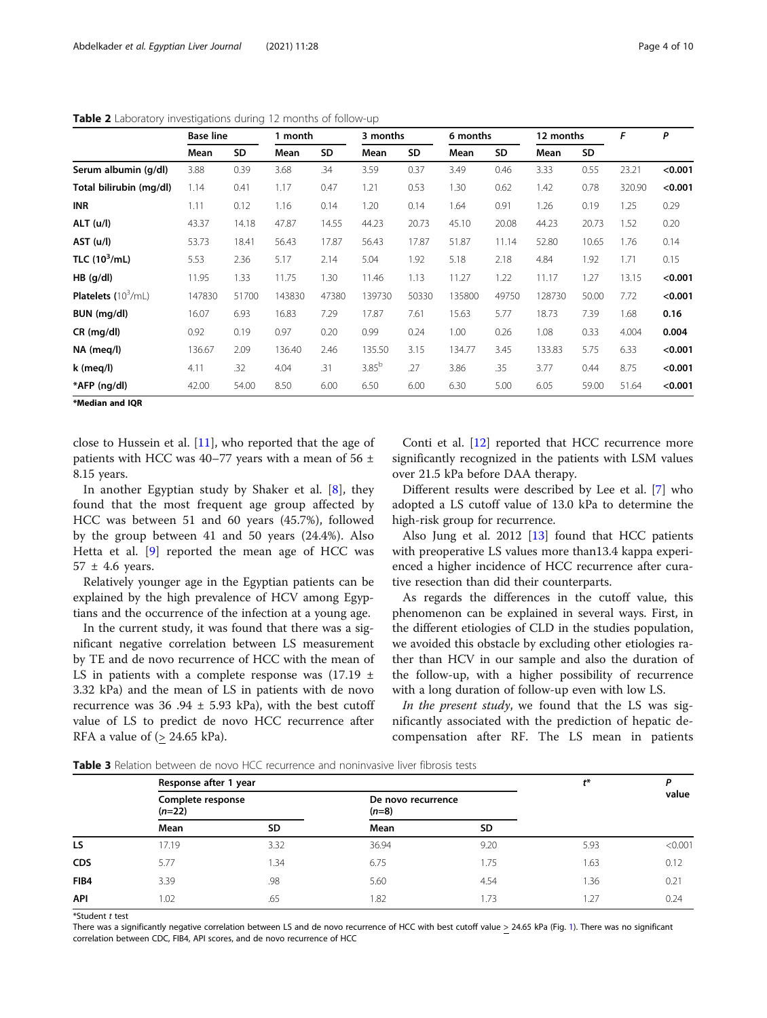|                              | <b>Base line</b> |           | 1 month |       |            | 3 months |        | 6 months | 12 months |       | F      | $\mathbf{P}$ |
|------------------------------|------------------|-----------|---------|-------|------------|----------|--------|----------|-----------|-------|--------|--------------|
|                              | Mean             | <b>SD</b> | Mean    | SD    | Mean       | SD       | Mean   | SD       | Mean      | SD    |        |              |
| Serum albumin (g/dl)         | 3.88             | 0.39      | 3.68    | .34   | 3.59       | 0.37     | 3.49   | 0.46     | 3.33      | 0.55  | 23.21  | < 0.001      |
| Total bilirubin (mg/dl)      | 1.14             | 0.41      | 1.17    | 0.47  | 1.21       | 0.53     | 1.30   | 0.62     | 1.42      | 0.78  | 320.90 | < 0.001      |
| INR                          | 1.11             | 0.12      | 1.16    | 0.14  | 1.20       | 0.14     | 1.64   | 0.91     | 1.26      | 0.19  | 1.25   | 0.29         |
| ALT (u/l)                    | 43.37            | 14.18     | 47.87   | 14.55 | 44.23      | 20.73    | 45.10  | 20.08    | 44.23     | 20.73 | 1.52   | 0.20         |
| AST (u/l)                    | 53.73            | 18.41     | 56.43   | 17.87 | 56.43      | 17.87    | 51.87  | 11.14    | 52.80     | 10.65 | 1.76   | 0.14         |
| TLC $(10^3/mL)$              | 5.53             | 2.36      | 5.17    | 2.14  | 5.04       | 1.92     | 5.18   | 2.18     | 4.84      | 1.92  | 1.71   | 0.15         |
| $HB$ (g/dl)                  | 11.95            | 1.33      | 11.75   | 1.30  | 11.46      | 1.13     | 11.27  | 1.22     | 11.17     | 1.27  | 13.15  | < 0.001      |
| <b>Platelets</b> $(10^3/mL)$ | 147830           | 51700     | 143830  | 47380 | 139730     | 50330    | 135800 | 49750    | 128730    | 50.00 | 7.72   | < 0.001      |
| BUN (mg/dl)                  | 16.07            | 6.93      | 16.83   | 7.29  | 17.87      | 7.61     | 15.63  | 5.77     | 18.73     | 7.39  | 1.68   | 0.16         |
| $CR$ (mg/dl)                 | 0.92             | 0.19      | 0.97    | 0.20  | 0.99       | 0.24     | 1.00   | 0.26     | 1.08      | 0.33  | 4.004  | 0.004        |
| NA (meg/l)                   | 136.67           | 2.09      | 136.40  | 2.46  | 135.50     | 3.15     | 134.77 | 3.45     | 133.83    | 5.75  | 6.33   | < 0.001      |
| k (meg/l)                    | 4.11             | .32       | 4.04    | .31   | $3.85^{b}$ | .27      | 3.86   | .35      | 3.77      | 0.44  | 8.75   | < 0.001      |
| *AFP (ng/dl)                 | 42.00            | 54.00     | 8.50    | 6.00  | 6.50       | 6.00     | 6.30   | 5.00     | 6.05      | 59.00 | 51.64  | < 0.001      |

<span id="page-3-0"></span>Table 2 Laboratory investigations during 12 months of follow-up

\*Median and IQR

close to Hussein et al. [[11\]](#page-8-0), who reported that the age of patients with HCC was 40–77 years with a mean of 56  $\pm$ 8.15 years.

In another Egyptian study by Shaker et al. [[8](#page-8-0)], they found that the most frequent age group affected by HCC was between 51 and 60 years (45.7%), followed by the group between 41 and 50 years (24.4%). Also Hetta et al. [[9\]](#page-8-0) reported the mean age of HCC was  $57 \pm 4.6$  years.

Relatively younger age in the Egyptian patients can be explained by the high prevalence of HCV among Egyptians and the occurrence of the infection at a young age.

In the current study, it was found that there was a significant negative correlation between LS measurement by TE and de novo recurrence of HCC with the mean of LS in patients with a complete response was  $(17.19 \pm 10^{-12})$ 3.32 kPa) and the mean of LS in patients with de novo recurrence was  $36.94 \pm 5.93$  kPa), with the best cutoff value of LS to predict de novo HCC recurrence after RFA a value of  $(> 24.65 \text{ kPa})$ .

Conti et al. [[12\]](#page-8-0) reported that HCC recurrence more significantly recognized in the patients with LSM values over 21.5 kPa before DAA therapy.

Different results were described by Lee et al. [\[7](#page-8-0)] who adopted a LS cutoff value of 13.0 kPa to determine the high-risk group for recurrence.

Also Jung et al. 2012 [\[13](#page-8-0)] found that HCC patients with preoperative LS values more than13.4 kappa experienced a higher incidence of HCC recurrence after curative resection than did their counterparts.

As regards the differences in the cutoff value, this phenomenon can be explained in several ways. First, in the different etiologies of CLD in the studies population, we avoided this obstacle by excluding other etiologies rather than HCV in our sample and also the duration of the follow-up, with a higher possibility of recurrence with a long duration of follow-up even with low LS.

In the present study, we found that the LS was significantly associated with the prediction of hepatic decompensation after RF. The LS mean in patients

Table 3 Relation between de novo HCC recurrence and noninvasive liver fibrosis tests

|            | Response after 1 year         | $t^*$ | D                             |           |      |         |
|------------|-------------------------------|-------|-------------------------------|-----------|------|---------|
|            | Complete response<br>$(n=22)$ |       | De novo recurrence<br>$(n=8)$ |           |      | value   |
|            | Mean                          | SD.   | Mean                          | <b>SD</b> |      |         |
| LS         | 17.19                         | 3.32  | 36.94                         | 9.20      | 5.93 | < 0.001 |
| <b>CDS</b> | 5.77                          | 1.34  | 6.75                          | 1.75      | 1.63 | 0.12    |
| FIB4       | 3.39                          | .98   | 5.60                          | 4.54      | 1.36 | 0.21    |
| API        | 1.02                          | .65   | 1.82                          | 1.73      | 1.27 | 0.24    |
|            |                               |       |                               |           |      |         |

\*Student t test There was a significantly negative correlation between LS and de novo recurrence of HCC with best cutoff value > 24.65 kPa (Fig. [1](#page-4-0)). There was no significant correlation between CDC, FIB4, API scores, and de novo recurrence of HCC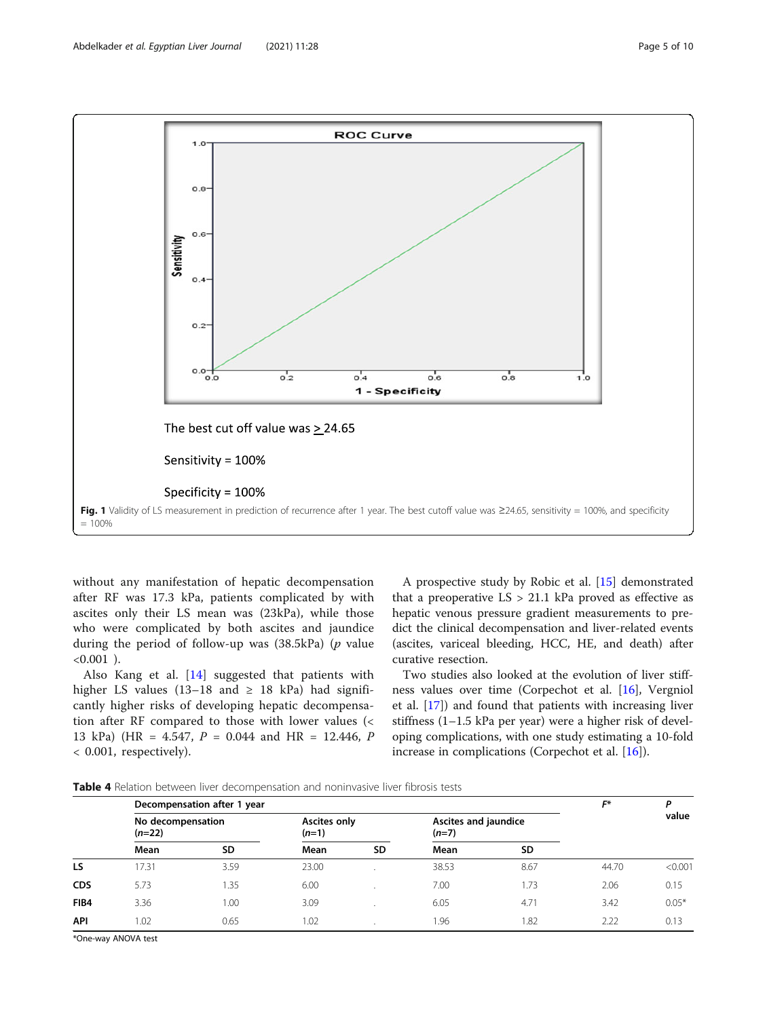<span id="page-4-0"></span>

without any manifestation of hepatic decompensation after RF was 17.3 kPa, patients complicated by with ascites only their LS mean was (23kPa), while those who were complicated by both ascites and jaundice during the period of follow-up was  $(38.5kPa)$  (p value  $< 0.001$ ).

Also Kang et al. [\[14](#page-8-0)] suggested that patients with higher LS values (13–18 and  $\geq$  18 kPa) had significantly higher risks of developing hepatic decompensation after RF compared to those with lower values (< 13 kPa) (HR = 4.547, P = 0.044 and HR = 12.446, P < 0.001, respectively).

A prospective study by Robic et al. [[15\]](#page-8-0) demonstrated that a preoperative  $LS > 21.1$  kPa proved as effective as hepatic venous pressure gradient measurements to predict the clinical decompensation and liver-related events (ascites, variceal bleeding, HCC, HE, and death) after curative resection.

Two studies also looked at the evolution of liver stiffness values over time (Corpechot et al. [\[16](#page-8-0)], Vergniol et al. [\[17\]](#page-8-0)) and found that patients with increasing liver stiffness (1–1.5 kPa per year) were a higher risk of developing complications, with one study estimating a 10-fold increase in complications (Corpechot et al. [\[16](#page-8-0)]).

Table 4 Relation between liver decompensation and noninvasive liver fibrosis tests

|            | Decompensation after 1 year   |           |                         |    |                                 |           | F*    | D       |
|------------|-------------------------------|-----------|-------------------------|----|---------------------------------|-----------|-------|---------|
|            | No decompensation<br>$(n=22)$ |           | Ascites only<br>$(n=1)$ |    | Ascites and jaundice<br>$(n=7)$ |           |       | value   |
|            | Mean                          | <b>SD</b> | Mean                    | SD | Mean                            | <b>SD</b> |       |         |
| LS         | 17.31                         | 3.59      | 23.00                   |    | 38.53                           | 8.67      | 44.70 | < 0.001 |
| <b>CDS</b> | 5.73                          | 1.35      | 6.00                    |    | 7.00                            | 1.73      | 2.06  | 0.15    |
| FIB4       | 3.36                          | 1.00      | 3.09                    |    | 6.05                            | 4.71      | 3.42  | $0.05*$ |
| API        | 1.02                          | 0.65      | 1.02                    |    | 1.96                            | .82       | 2.22  | 0.13    |

\*One-way ANOVA test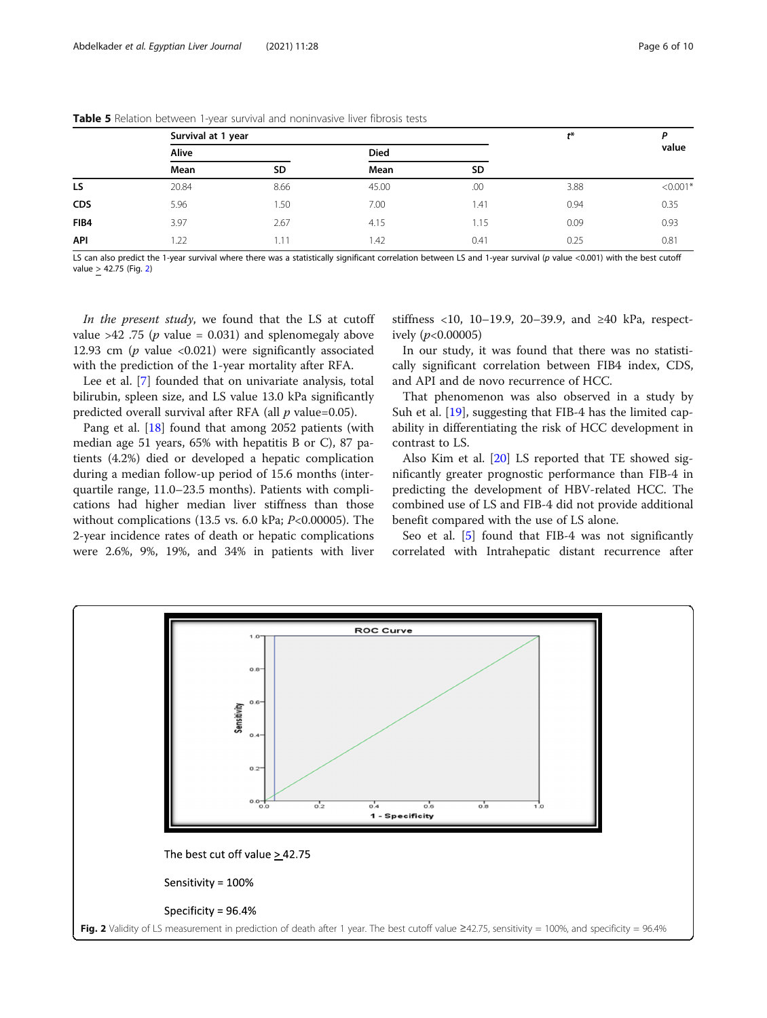|            | Survival at 1 year | $t^*$     |             |      |      |            |
|------------|--------------------|-----------|-------------|------|------|------------|
|            | Alive              |           | <b>Died</b> |      |      | value      |
|            | Mean               | <b>SD</b> | Mean        | SD   |      |            |
| LS         | 20.84              | 8.66      | 45.00       | .00  | 3.88 | $< 0.001*$ |
| <b>CDS</b> | 5.96               | 1.50      | 7.00        | 1.41 | 0.94 | 0.35       |
| FIB4       | 3.97               | 2.67      | 4.15        | 1.15 | 0.09 | 0.93       |
| API        | 1.22               | 1.11      | 1.42        | 0.41 | 0.25 | 0.81       |

<span id="page-5-0"></span>Table 5 Relation between 1-year survival and noninvasive liver fibrosis tests

LS can also predict the 1-year survival where there was a statistically significant correlation between LS and 1-year survival (p value <0.001) with the best cutoff value > 42.75 (Fig. 2)

In the present study, we found that the LS at cutoff value  $>42$  .75 (*p* value = 0.031) and splenomegaly above 12.93 cm ( $p$  value <0.021) were significantly associated with the prediction of the 1-year mortality after RFA.

Lee et al. [\[7](#page-8-0)] founded that on univariate analysis, total bilirubin, spleen size, and LS value 13.0 kPa significantly predicted overall survival after RFA (all  $p$  value=0.05).

Pang et al. [\[18](#page-8-0)] found that among 2052 patients (with median age 51 years, 65% with hepatitis B or C), 87 patients (4.2%) died or developed a hepatic complication during a median follow-up period of 15.6 months (interquartile range, 11.0–23.5 months). Patients with complications had higher median liver stiffness than those without complications (13.5 vs. 6.0 kPa; P<0.00005). The 2-year incidence rates of death or hepatic complications were 2.6%, 9%, 19%, and 34% in patients with liver

stiffness <10, 10−19.9, 20−39.9, and ≥40 kPa, respectively  $(p<0.00005)$ 

In our study, it was found that there was no statistically significant correlation between FIB4 index, CDS, and API and de novo recurrence of HCC.

That phenomenon was also observed in a study by Suh et al. [[19\]](#page-8-0), suggesting that FIB-4 has the limited capability in differentiating the risk of HCC development in contrast to LS.

Also Kim et al. [[20](#page-8-0)] LS reported that TE showed significantly greater prognostic performance than FIB-4 in predicting the development of HBV-related HCC. The combined use of LS and FIB-4 did not provide additional benefit compared with the use of LS alone.

Seo et al. [\[5](#page-8-0)] found that FIB-4 was not significantly correlated with Intrahepatic distant recurrence after

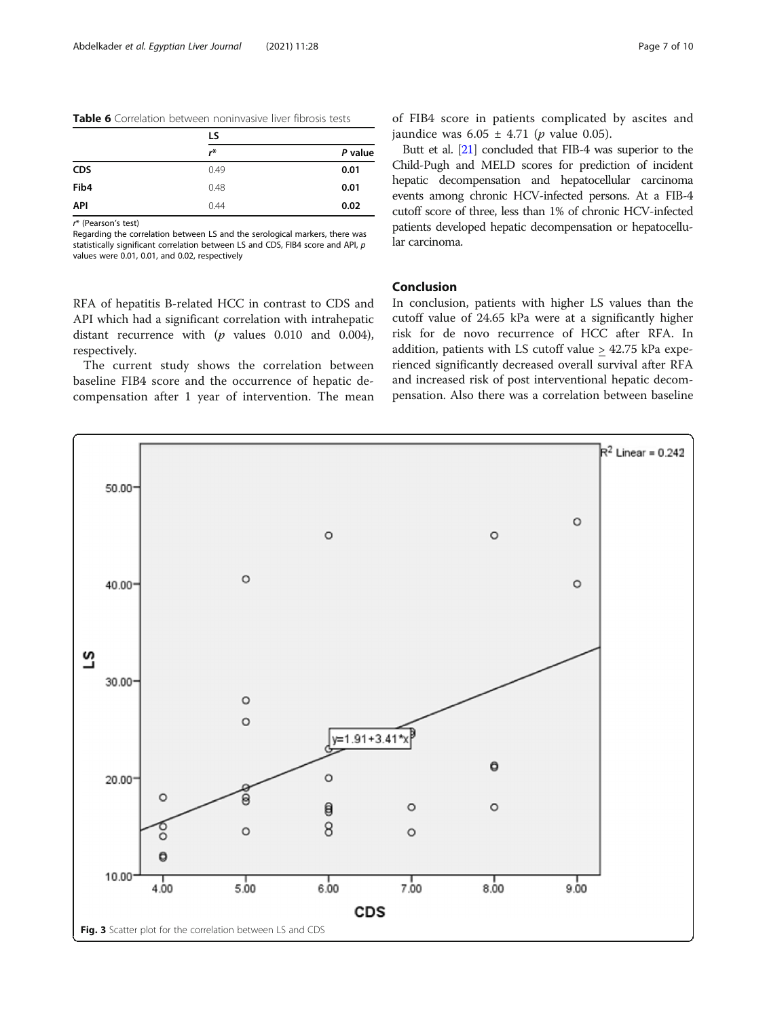<span id="page-6-0"></span>

| <b>Table 6</b> Correlation between noninvasive liver fibrosis tests |  |  |  |
|---------------------------------------------------------------------|--|--|--|
|---------------------------------------------------------------------|--|--|--|

|            | LS   |         |  |
|------------|------|---------|--|
|            | r*   | P value |  |
| <b>CDS</b> | 0.49 | 0.01    |  |
| Fib4       | 0.48 | 0.01    |  |
| <b>API</b> | 0.44 | 0.02    |  |

r\* (Pearson's test)

Regarding the correlation between LS and the serological markers, there was statistically significant correlation between LS and CDS, FIB4 score and API, p values were 0.01, 0.01, and 0.02, respectively

RFA of hepatitis B-related HCC in contrast to CDS and API which had a significant correlation with intrahepatic distant recurrence with  $(p \text{ values } 0.010 \text{ and } 0.004)$ , respectively.

The current study shows the correlation between baseline FIB4 score and the occurrence of hepatic decompensation after 1 year of intervention. The mean of FIB4 score in patients complicated by ascites and jaundice was  $6.05 \pm 4.71$  (*p* value 0.05).

Butt et al. [\[21\]](#page-9-0) concluded that FIB-4 was superior to the Child-Pugh and MELD scores for prediction of incident hepatic decompensation and hepatocellular carcinoma events among chronic HCV-infected persons. At a FIB-4 cutoff score of three, less than 1% of chronic HCV-infected patients developed hepatic decompensation or hepatocellular carcinoma.

## Conclusion

In conclusion, patients with higher LS values than the cutoff value of 24.65 kPa were at a significantly higher risk for de novo recurrence of HCC after RFA. In addition, patients with LS cutoff value > 42.75 kPa experienced significantly decreased overall survival after RFA and increased risk of post interventional hepatic decompensation. Also there was a correlation between baseline

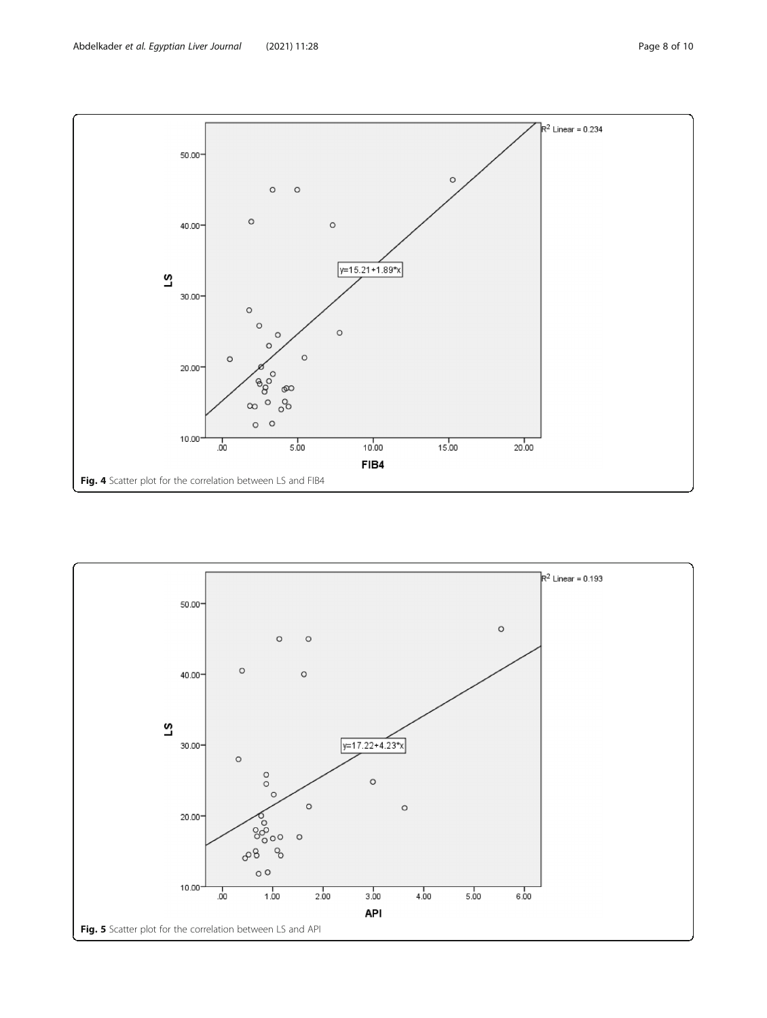<span id="page-7-0"></span>

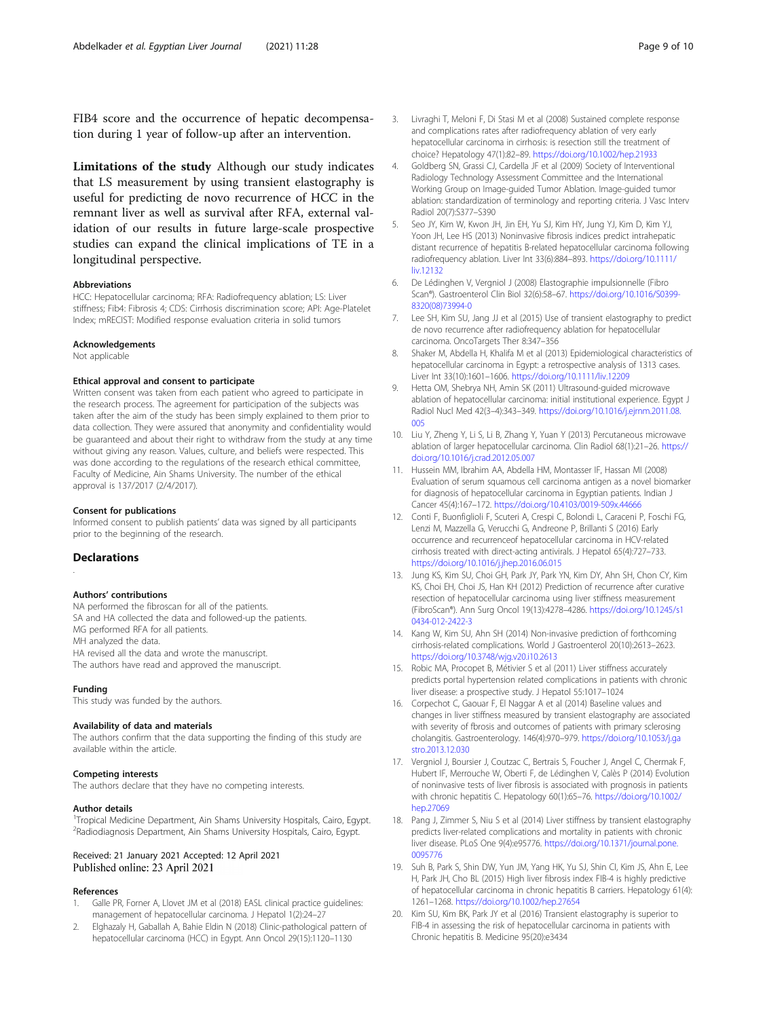<span id="page-8-0"></span>FIB4 score and the occurrence of hepatic decompensation during 1 year of follow-up after an intervention.

Limitations of the study Although our study indicates that LS measurement by using transient elastography is useful for predicting de novo recurrence of HCC in the remnant liver as well as survival after RFA, external validation of our results in future large-scale prospective studies can expand the clinical implications of TE in a longitudinal perspective.

#### Abbreviations

HCC: Hepatocellular carcinoma; RFA: Radiofrequency ablation; LS: Liver stiffness; Fib4: Fibrosis 4; CDS: Cirrhosis discrimination score; API: Age-Platelet Index; mRECIST: Modified response evaluation criteria in solid tumors

#### Acknowledgements

Not applicable

#### Ethical approval and consent to participate

Written consent was taken from each patient who agreed to participate in the research process. The agreement for participation of the subjects was taken after the aim of the study has been simply explained to them prior to data collection. They were assured that anonymity and confidentiality would be guaranteed and about their right to withdraw from the study at any time without giving any reason. Values, culture, and beliefs were respected. This was done according to the regulations of the research ethical committee, Faculty of Medicine, Ain Shams University. The number of the ethical approval is 137/2017 (2/4/2017).

#### Consent for publications

Informed consent to publish patients' data was signed by all participants prior to the beginning of the research.

#### **Declarations**

.

#### Authors' contributions

NA performed the fibroscan for all of the patients. SA and HA collected the data and followed-up the patients. MG performed RFA for all patients. MH analyzed the data. HA revised all the data and wrote the manuscript. The authors have read and approved the manuscript.

#### Funding

This study was funded by the authors.

#### Availability of data and materials

The authors confirm that the data supporting the finding of this study are available within the article.

#### Competing interests

The authors declare that they have no competing interests.

#### Author details

<sup>1</sup>Tropical Medicine Department, Ain Shams University Hospitals, Cairo, Egypt. <sup>2</sup> Radiodiagnosis Department, Ain Shams University Hospitals, Cairo, Egypt.

## Received: 21 January 2021 Accepted: 12 April 2021 Published online: 23 April 2021

#### References

- 1. Galle PR, Forner A, Llovet JM et al (2018) EASL clinical practice guidelines: management of hepatocellular carcinoma. J Hepatol 1(2):24–27
- 2. Elghazaly H, Gaballah A, Bahie Eldin N (2018) Clinic-pathological pattern of hepatocellular carcinoma (HCC) in Egypt. Ann Oncol 29(15):1120–1130
- 3. Livraghi T, Meloni F, Di Stasi M et al (2008) Sustained complete response and complications rates after radiofrequency ablation of very early hepatocellular carcinoma in cirrhosis: is resection still the treatment of choice? Hepatology 47(1):82–89. <https://doi.org/10.1002/hep.21933>
- 4. Goldberg SN, Grassi CJ, Cardella JF et al (2009) Society of Interventional Radiology Technology Assessment Committee and the International Working Group on Image-guided Tumor Ablation. Image-guided tumor ablation: standardization of terminology and reporting criteria. J Vasc Interv Radiol 20(7):S377–S390
- 5. Seo JY, Kim W, Kwon JH, Jin EH, Yu SJ, Kim HY, Jung YJ, Kim D, Kim YJ, Yoon JH, Lee HS (2013) Noninvasive fibrosis indices predict intrahepatic distant recurrence of hepatitis B-related hepatocellular carcinoma following radiofrequency ablation. Liver Int 33(6):884–893. [https://doi.org/10.1111/](https://doi.org/10.1111/liv.12132) [liv.12132](https://doi.org/10.1111/liv.12132)
- 6. De Lédinghen V, Vergniol J (2008) Elastographie impulsionnelle (Fibro Scan®). Gastroenterol Clin Biol 32(6):58–67. [https://doi.org/10.1016/S0399-](https://doi.org/10.1016/S0399-8320(08)73994-0) [8320\(08\)73994-0](https://doi.org/10.1016/S0399-8320(08)73994-0)
- 7. Lee SH, Kim SU, Jang JJ et al (2015) Use of transient elastography to predict de novo recurrence after radiofrequency ablation for hepatocellular carcinoma. OncoTargets Ther 8:347–356
- 8. Shaker M, Abdella H, Khalifa M et al (2013) Epidemiological characteristics of hepatocellular carcinoma in Egypt: a retrospective analysis of 1313 cases. Liver Int 33(10):1601–1606. <https://doi.org/10.1111/liv.12209>
- 9. Hetta OM, Shebrya NH, Amin SK (2011) Ultrasound-guided microwave ablation of hepatocellular carcinoma: initial institutional experience. Egypt J Radiol Nucl Med 42(3–4):343–349. [https://doi.org/10.1016/j.ejrnm.2011.08.](https://doi.org/10.1016/j.ejrnm.2011.08.005) [005](https://doi.org/10.1016/j.ejrnm.2011.08.005)
- 10. Liu Y, Zheng Y, Li S, Li B, Zhang Y, Yuan Y (2013) Percutaneous microwave ablation of larger hepatocellular carcinoma. Clin Radiol 68(1):21–26. [https://](https://doi.org/10.1016/j.crad.2012.05.007) [doi.org/10.1016/j.crad.2012.05.007](https://doi.org/10.1016/j.crad.2012.05.007)
- 11. Hussein MM, Ibrahim AA, Abdella HM, Montasser IF, Hassan MI (2008) Evaluation of serum squamous cell carcinoma antigen as a novel biomarker for diagnosis of hepatocellular carcinoma in Egyptian patients. Indian J Cancer 45(4):167–172. <https://doi.org/10.4103/0019-509x.44666>
- 12. Conti F, Buonfiglioli F, Scuteri A, Crespi C, Bolondi L, Caraceni P, Foschi FG, Lenzi M, Mazzella G, Verucchi G, Andreone P, Brillanti S (2016) Early occurrence and recurrenceof hepatocellular carcinoma in HCV-related cirrhosis treated with direct-acting antivirals. J Hepatol 65(4):727–733. <https://doi.org/10.1016/j.jhep.2016.06.015>
- 13. Jung KS, Kim SU, Choi GH, Park JY, Park YN, Kim DY, Ahn SH, Chon CY, Kim KS, Choi EH, Choi JS, Han KH (2012) Prediction of recurrence after curative resection of hepatocellular carcinoma using liver stiffness measurement (FibroScan®). Ann Surg Oncol 19(13):4278–4286. [https://doi.org/10.1245/s1](https://doi.org/10.1245/s10434-012-2422-3) [0434-012-2422-3](https://doi.org/10.1245/s10434-012-2422-3)
- 14. Kang W, Kim SU, Ahn SH (2014) Non-invasive prediction of forthcoming cirrhosis-related complications. World J Gastroenterol 20(10):2613–2623. <https://doi.org/10.3748/wjg.v20.i10.2613>
- 15. Robic MA, Procopet B, Métivier S et al (2011) Liver stiffness accurately predicts portal hypertension related complications in patients with chronic liver disease: a prospective study. J Hepatol 55:1017–1024
- 16. Corpechot C, Gaouar F, El Naggar A et al (2014) Baseline values and changes in liver stiffness measured by transient elastography are associated with severity of fbrosis and outcomes of patients with primary sclerosing cholangitis. Gastroenterology. 146(4):970–979. [https://doi.org/10.1053/j.ga](https://doi.org/10.1053/j.gastro.2013.12.030) [stro.2013.12.030](https://doi.org/10.1053/j.gastro.2013.12.030)
- 17. Vergniol J, Boursier J, Coutzac C, Bertrais S, Foucher J, Angel C, Chermak F, Hubert IF, Merrouche W, Oberti F, de Lédinghen V, Calès P (2014) Evolution of noninvasive tests of liver fibrosis is associated with prognosis in patients with chronic hepatitis C. Hepatology 60(1):65–76. [https://doi.org/10.1002/](https://doi.org/10.1002/hep.27069) [hep.27069](https://doi.org/10.1002/hep.27069)
- 18. Pang J, Zimmer S, Niu S et al (2014) Liver stiffness by transient elastography predicts liver-related complications and mortality in patients with chronic liver disease. PLoS One 9(4):e95776. [https://doi.org/10.1371/journal.pone.](https://doi.org/10.1371/journal.pone.0095776) [0095776](https://doi.org/10.1371/journal.pone.0095776)
- 19. Suh B, Park S, Shin DW, Yun JM, Yang HK, Yu SJ, Shin CI, Kim JS, Ahn E, Lee H, Park JH, Cho BL (2015) High liver fibrosis index FIB-4 is highly predictive of hepatocellular carcinoma in chronic hepatitis B carriers. Hepatology 61(4): 1261–1268. <https://doi.org/10.1002/hep.27654>
- 20. Kim SU, Kim BK, Park JY et al (2016) Transient elastography is superior to FIB-4 in assessing the risk of hepatocellular carcinoma in patients with Chronic hepatitis B. Medicine 95(20):e3434